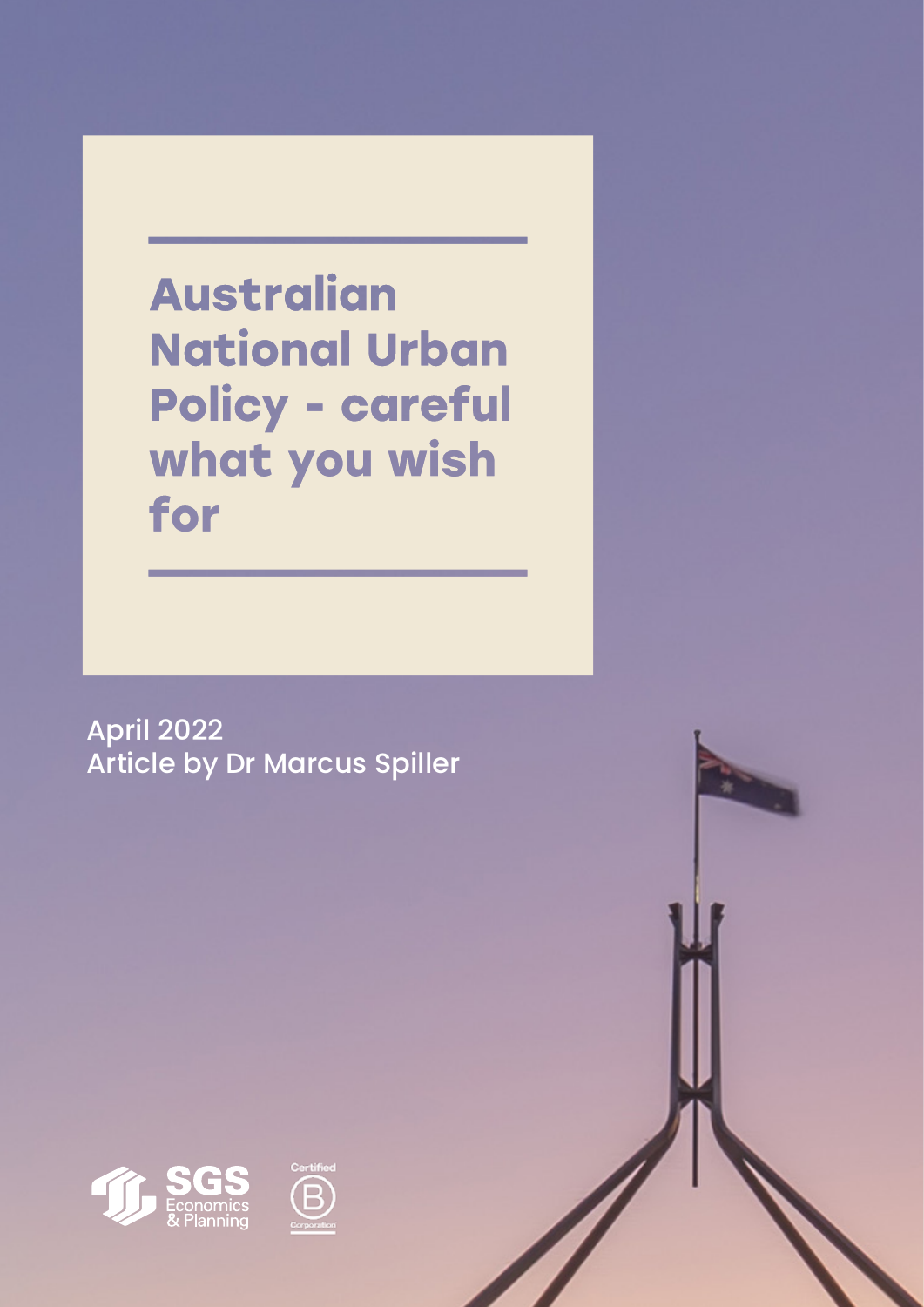**Australian National Urban** Policy - careful what you wish for

April 2022 Article by Dr Marcus Spiller





1 SGS Economics and Planning and Planning and Planning and Planning and Planning and Planning and Planning and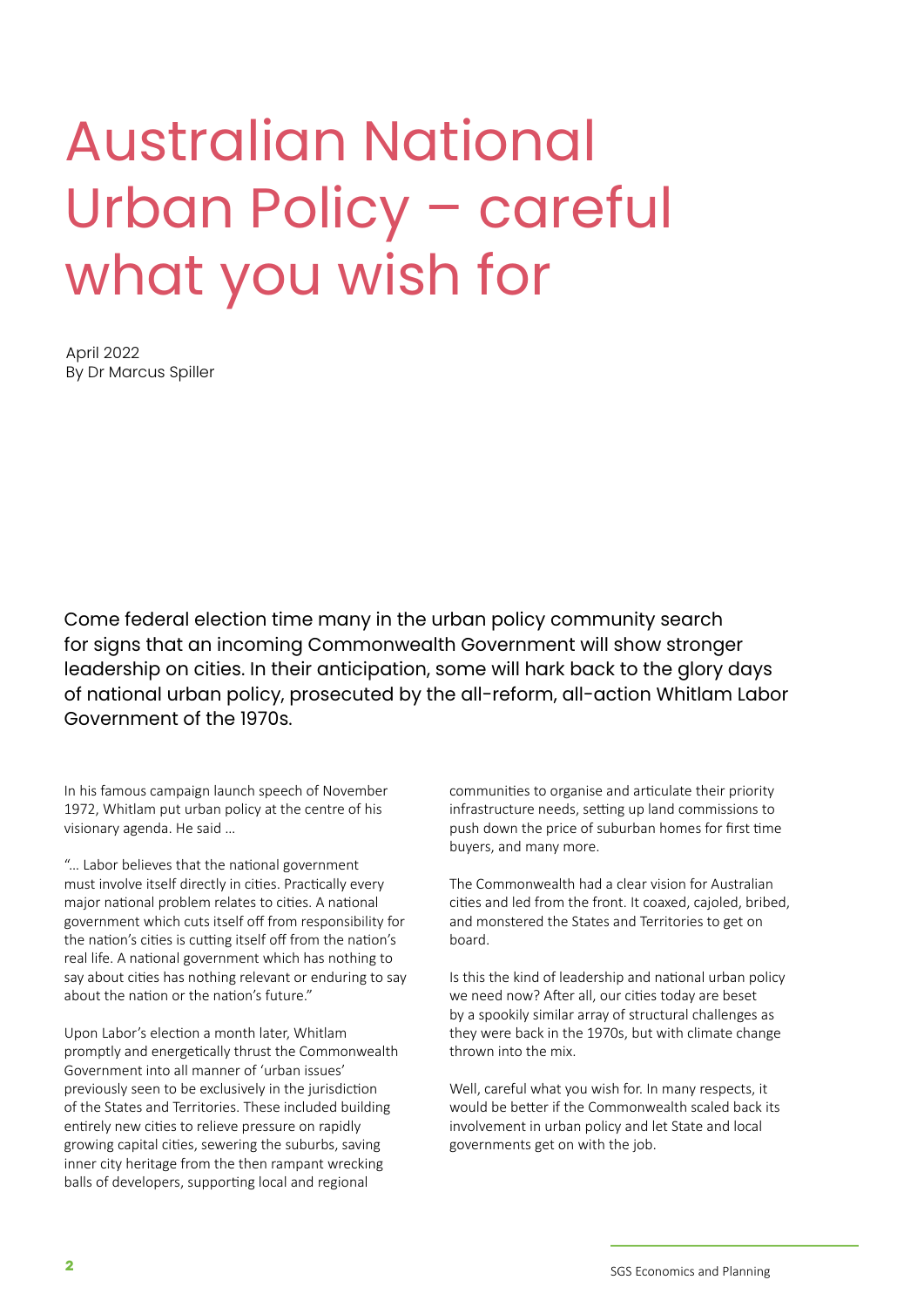# Australian National Urban Policy – careful what you wish for

April 2022 By Dr Marcus Spiller

Come federal election time many in the urban policy community search for signs that an incoming Commonwealth Government will show stronger leadership on cities. In their anticipation, some will hark back to the glory days of national urban policy, prosecuted by the all-reform, all-action Whitlam Labor Government of the 1970s.

In his famous campaign launch speech of November 1972, Whitlam put urban policy at the centre of his visionary agenda. He said …

"… Labor believes that the national government must involve itself directly in cities. Practically every major national problem relates to cities. A national government which cuts itself off from responsibility for the nation's cities is cutting itself off from the nation's real life. A national government which has nothing to say about cities has nothing relevant or enduring to say about the nation or the nation's future."

Upon Labor's election a month later, Whitlam promptly and energetically thrust the Commonwealth Government into all manner of 'urban issues' previously seen to be exclusively in the jurisdiction of the States and Territories. These included building entirely new cities to relieve pressure on rapidly growing capital cities, sewering the suburbs, saving inner city heritage from the then rampant wrecking balls of developers, supporting local and regional

communities to organise and articulate their priority infrastructure needs, setting up land commissions to push down the price of suburban homes for first time buyers, and many more.

The Commonwealth had a clear vision for Australian cities and led from the front. It coaxed, cajoled, bribed, and monstered the States and Territories to get on board.

Is this the kind of leadership and national urban policy we need now? After all, our cities today are beset by a spookily similar array of structural challenges as they were back in the 1970s, but with climate change thrown into the mix.

Well, careful what you wish for. In many respects, it would be better if the Commonwealth scaled back its involvement in urban policy and let State and local governments get on with the job.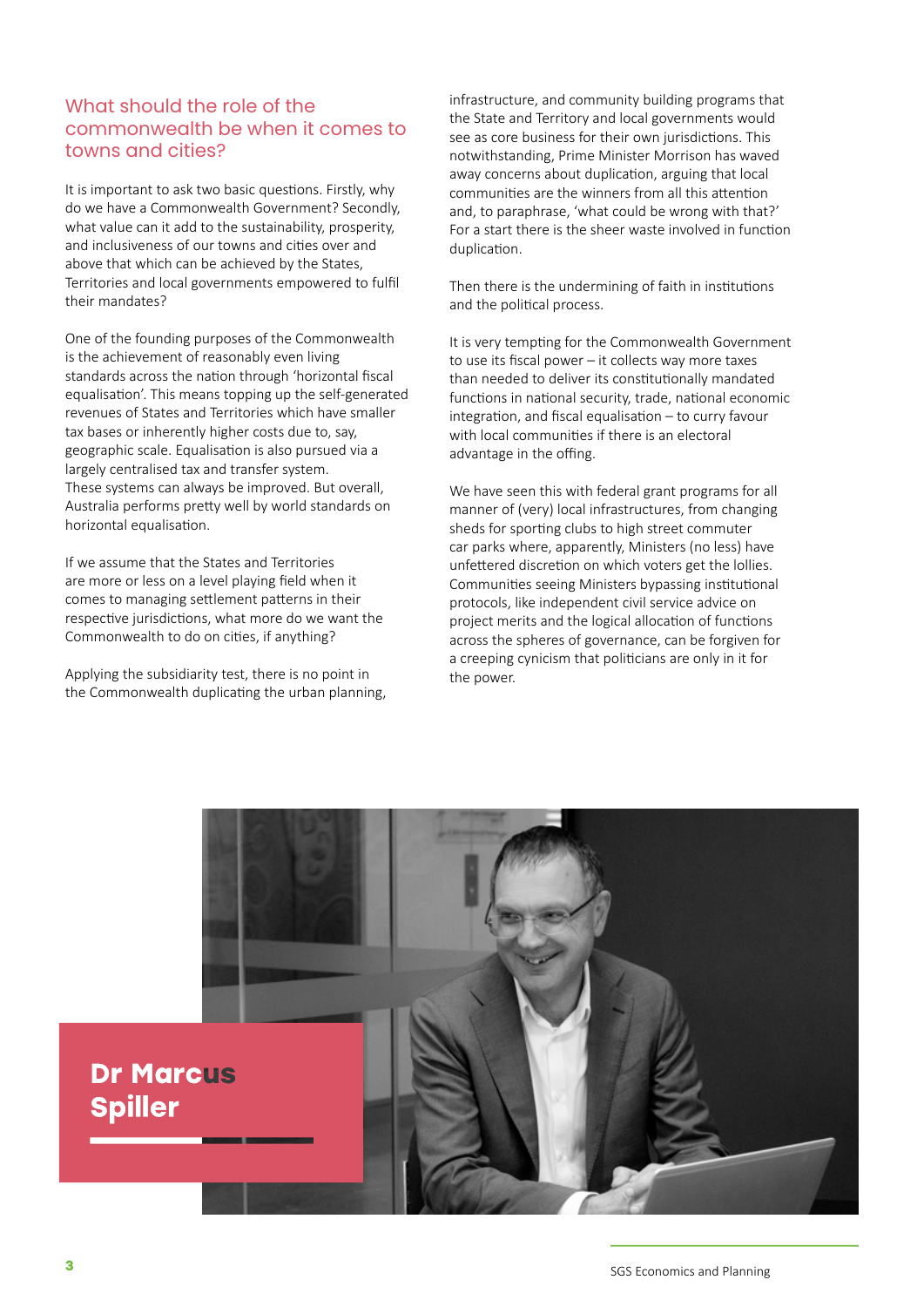## What should the role of the commonwealth be when it comes to towns and cities?

It is important to ask two basic questions. Firstly, why do we have a Commonwealth Government? Secondly, what value can it add to the sustainability, prosperity, and inclusiveness of our towns and cities over and above that which can be achieved by the States, Territories and local governments empowered to fulfil their mandates?

One of the founding purposes of the Commonwealth is the achievement of reasonably even living standards across the nation through 'horizontal fiscal equalisation'. This means topping up the self-generated revenues of States and Territories which have smaller tax bases or inherently higher costs due to, say, geographic scale. Equalisation is also pursued via a largely centralised tax and transfer system. These systems can always be improved. But overall, Australia performs pretty well by world standards on horizontal equalisation.

If we assume that the States and Territories are more or less on a level playing field when it comes to managing settlement patterns in their respective jurisdictions, what more do we want the Commonwealth to do on cities, if anything?

Applying the subsidiarity test, there is no point in the Commonwealth duplicating the urban planning, infrastructure, and community building programs that the State and Territory and local governments would see as core business for their own jurisdictions. This notwithstanding, Prime Minister Morrison has waved away concerns about duplication, arguing that local communities are the winners from all this attention and, to paraphrase, 'what could be wrong with that?' For a start there is the sheer waste involved in function duplication.

Then there is the undermining of faith in institutions and the political process.

It is very tempting for the Commonwealth Government to use its fiscal power – it collects way more taxes than needed to deliver its constitutionally mandated functions in national security, trade, national economic integration, and fiscal equalisation – to curry favour with local communities if there is an electoral advantage in the offing.

We have seen this with federal grant programs for all manner of (very) local infrastructures, from changing sheds for sporting clubs to high street commuter car parks where, apparently, Ministers (no less) have unfettered discretion on which voters get the lollies. Communities seeing Ministers bypassing institutional protocols, like independent civil service advice on project merits and the logical allocation of functions across the spheres of governance, can be forgiven for a creeping cynicism that politicians are only in it for the power.

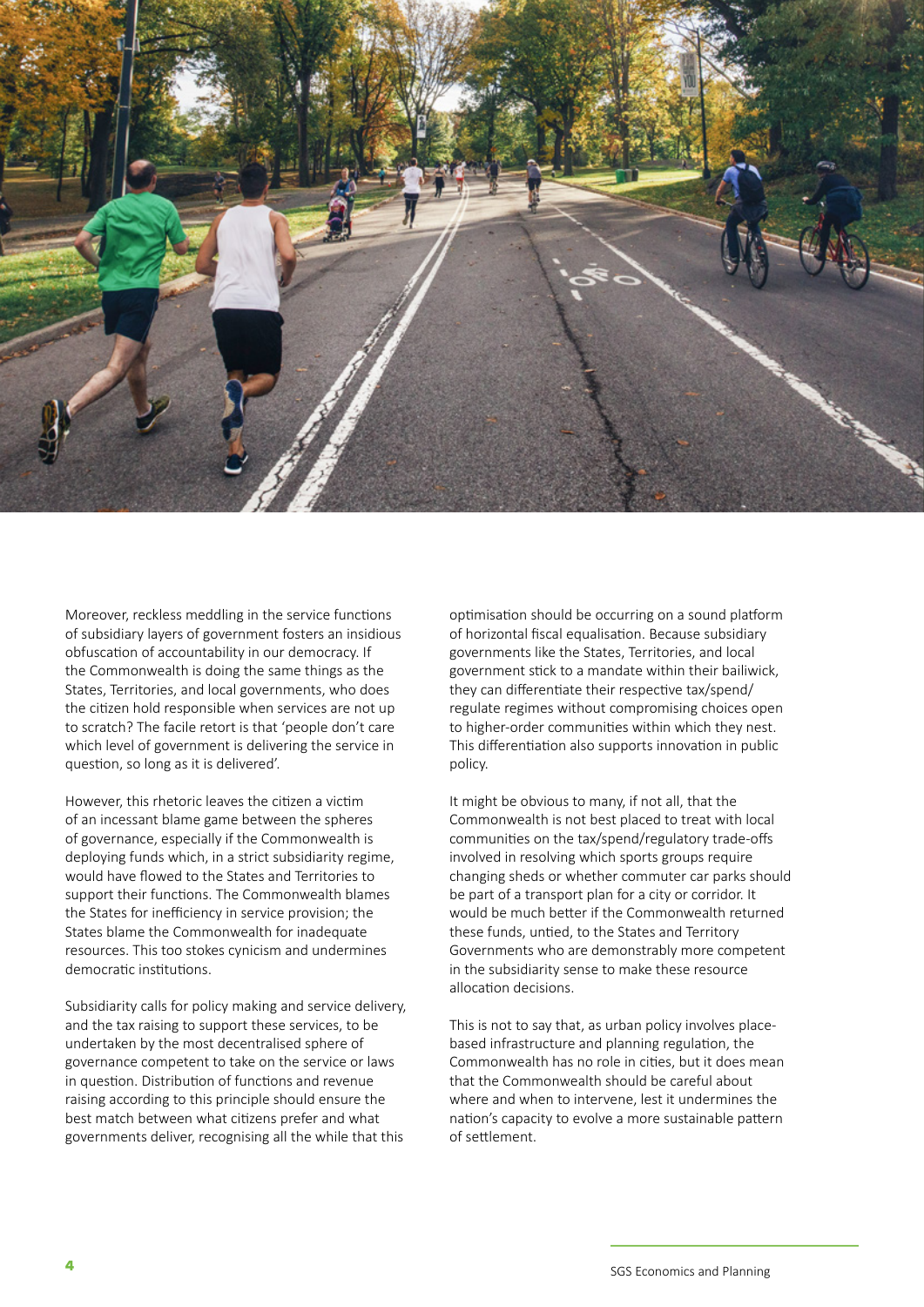

Moreover, reckless meddling in the service functions of subsidiary layers of government fosters an insidious obfuscation of accountability in our democracy. If the Commonwealth is doing the same things as the States, Territories, and local governments, who does the citizen hold responsible when services are not up to scratch? The facile retort is that 'people don't care which level of government is delivering the service in question, so long as it is delivered'.

However, this rhetoric leaves the citizen a victim of an incessant blame game between the spheres of governance, especially if the Commonwealth is deploying funds which, in a strict subsidiarity regime, would have flowed to the States and Territories to support their functions. The Commonwealth blames the States for inefficiency in service provision; the States blame the Commonwealth for inadequate resources. This too stokes cynicism and undermines democratic institutions.

Subsidiarity calls for policy making and service delivery, and the tax raising to support these services, to be undertaken by the most decentralised sphere of governance competent to take on the service or laws in question. Distribution of functions and revenue raising according to this principle should ensure the best match between what citizens prefer and what governments deliver, recognising all the while that this

optimisation should be occurring on a sound platform of horizontal fiscal equalisation. Because subsidiary governments like the States, Territories, and local government stick to a mandate within their bailiwick, they can differentiate their respective tax/spend/ regulate regimes without compromising choices open to higher-order communities within which they nest. This differentiation also supports innovation in public policy.

It might be obvious to many, if not all, that the Commonwealth is not best placed to treat with local communities on the tax/spend/regulatory trade-offs involved in resolving which sports groups require changing sheds or whether commuter car parks should be part of a transport plan for a city or corridor. It would be much better if the Commonwealth returned these funds, untied, to the States and Territory Governments who are demonstrably more competent in the subsidiarity sense to make these resource allocation decisions.

This is not to say that, as urban policy involves placebased infrastructure and planning regulation, the Commonwealth has no role in cities, but it does mean that the Commonwealth should be careful about where and when to intervene, lest it undermines the nation's capacity to evolve a more sustainable pattern of settlement.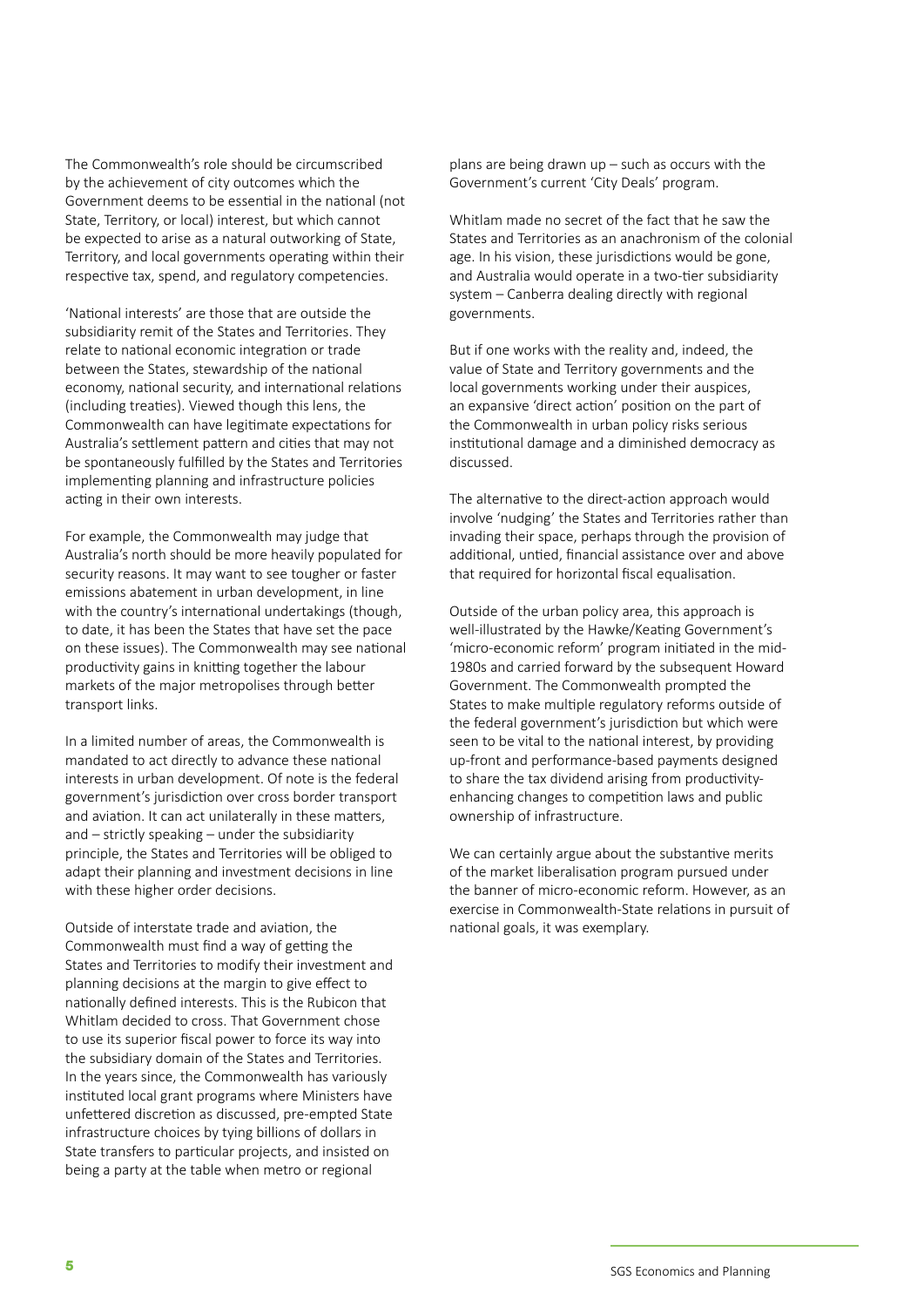The Commonwealth's role should be circumscribed by the achievement of city outcomes which the Government deems to be essential in the national (not State, Territory, or local) interest, but which cannot be expected to arise as a natural outworking of State, Territory, and local governments operating within their respective tax, spend, and regulatory competencies.

'National interests' are those that are outside the subsidiarity remit of the States and Territories. They relate to national economic integration or trade between the States, stewardship of the national economy, national security, and international relations (including treaties). Viewed though this lens, the Commonwealth can have legitimate expectations for Australia's settlement pattern and cities that may not be spontaneously fulfilled by the States and Territories implementing planning and infrastructure policies acting in their own interests.

For example, the Commonwealth may judge that Australia's north should be more heavily populated for security reasons. It may want to see tougher or faster emissions abatement in urban development, in line with the country's international undertakings (though, to date, it has been the States that have set the pace on these issues). The Commonwealth may see national productivity gains in knitting together the labour markets of the major metropolises through better transport links.

In a limited number of areas, the Commonwealth is mandated to act directly to advance these national interests in urban development. Of note is the federal government's jurisdiction over cross border transport and aviation. It can act unilaterally in these matters, and – strictly speaking – under the subsidiarity principle, the States and Territories will be obliged to adapt their planning and investment decisions in line with these higher order decisions.

Outside of interstate trade and aviation, the Commonwealth must find a way of getting the States and Territories to modify their investment and planning decisions at the margin to give effect to nationally defined interests. This is the Rubicon that Whitlam decided to cross. That Government chose to use its superior fiscal power to force its way into the subsidiary domain of the States and Territories. In the years since, the Commonwealth has variously instituted local grant programs where Ministers have unfettered discretion as discussed, pre-empted State infrastructure choices by tying billions of dollars in State transfers to particular projects, and insisted on being a party at the table when metro or regional

plans are being drawn up – such as occurs with the Government's current 'City Deals' program.

Whitlam made no secret of the fact that he saw the States and Territories as an anachronism of the colonial age. In his vision, these jurisdictions would be gone, and Australia would operate in a two-tier subsidiarity system – Canberra dealing directly with regional governments.

But if one works with the reality and, indeed, the value of State and Territory governments and the local governments working under their auspices, an expansive 'direct action' position on the part of the Commonwealth in urban policy risks serious institutional damage and a diminished democracy as discussed.

The alternative to the direct-action approach would involve 'nudging' the States and Territories rather than invading their space, perhaps through the provision of additional, untied, financial assistance over and above that required for horizontal fiscal equalisation.

Outside of the urban policy area, this approach is well-illustrated by the Hawke/Keating Government's 'micro-economic reform' program initiated in the mid-1980s and carried forward by the subsequent Howard Government. The Commonwealth prompted the States to make multiple regulatory reforms outside of the federal government's jurisdiction but which were seen to be vital to the national interest, by providing up-front and performance-based payments designed to share the tax dividend arising from productivityenhancing changes to competition laws and public ownership of infrastructure.

We can certainly argue about the substantive merits of the market liberalisation program pursued under the banner of micro-economic reform. However, as an exercise in Commonwealth-State relations in pursuit of national goals, it was exemplary.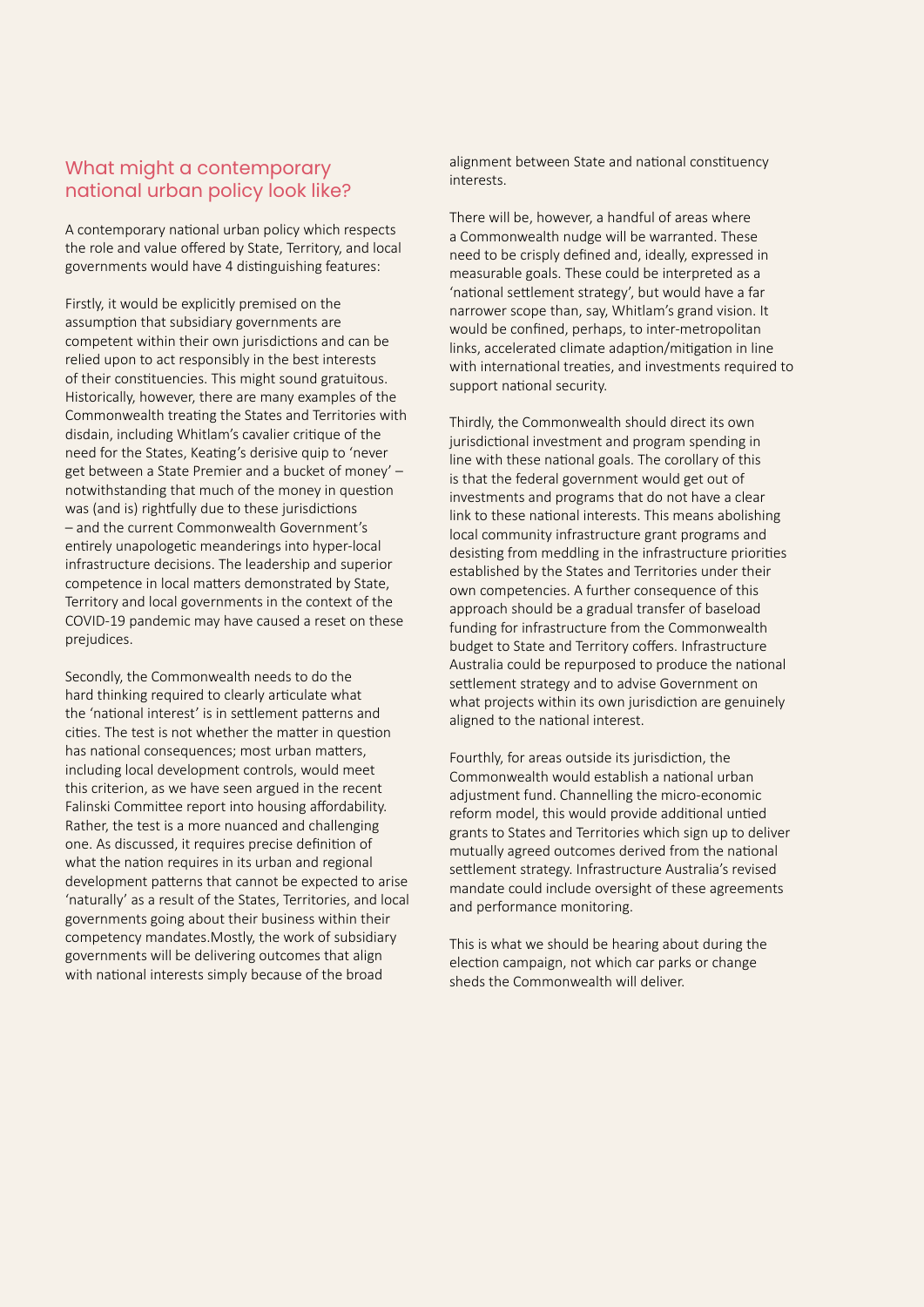## What might a contemporary national urban policy look like?

A contemporary national urban policy which respects the role and value offered by State, Territory, and local governments would have 4 distinguishing features:

Firstly, it would be explicitly premised on the assumption that subsidiary governments are competent within their own jurisdictions and can be relied upon to act responsibly in the best interests of their constituencies. This might sound gratuitous. Historically, however, there are many examples of the Commonwealth treating the States and Territories with disdain, including Whitlam's cavalier critique of the need for the States, Keating's derisive quip to 'never get between a State Premier and a bucket of money' – notwithstanding that much of the money in question was (and is) rightfully due to these jurisdictions – and the current Commonwealth Government's entirely unapologetic meanderings into hyper-local infrastructure decisions. The leadership and superior competence in local matters demonstrated by State, Territory and local governments in the context of the COVID-19 pandemic may have caused a reset on these prejudices.

Secondly, the Commonwealth needs to do the hard thinking required to clearly articulate what the 'national interest' is in settlement patterns and cities. The test is not whether the matter in question has national consequences; most urban matters, including local development controls, would meet this criterion, as we have seen argued in the recent Falinski Committee report into housing affordability. Rather, the test is a more nuanced and challenging one. As discussed, it requires precise definition of what the nation requires in its urban and regional development patterns that cannot be expected to arise 'naturally' as a result of the States, Territories, and local governments going about their business within their competency mandates.Mostly, the work of subsidiary governments will be delivering outcomes that align with national interests simply because of the broad

alignment between State and national constituency interests.

There will be, however, a handful of areas where a Commonwealth nudge will be warranted. These need to be crisply defined and, ideally, expressed in measurable goals. These could be interpreted as a 'national settlement strategy', but would have a far narrower scope than, say, Whitlam's grand vision. It would be confined, perhaps, to inter-metropolitan links, accelerated climate adaption/mitigation in line with international treaties, and investments required to support national security.

Thirdly, the Commonwealth should direct its own jurisdictional investment and program spending in line with these national goals. The corollary of this is that the federal government would get out of investments and programs that do not have a clear link to these national interests. This means abolishing local community infrastructure grant programs and desisting from meddling in the infrastructure priorities established by the States and Territories under their own competencies. A further consequence of this approach should be a gradual transfer of baseload funding for infrastructure from the Commonwealth budget to State and Territory coffers. Infrastructure Australia could be repurposed to produce the national settlement strategy and to advise Government on what projects within its own jurisdiction are genuinely aligned to the national interest.

Fourthly, for areas outside its jurisdiction, the Commonwealth would establish a national urban adjustment fund. Channelling the micro-economic reform model, this would provide additional untied grants to States and Territories which sign up to deliver mutually agreed outcomes derived from the national settlement strategy. Infrastructure Australia's revised mandate could include oversight of these agreements and performance monitoring.

This is what we should be hearing about during the election campaign, not which car parks or change sheds the Commonwealth will deliver.